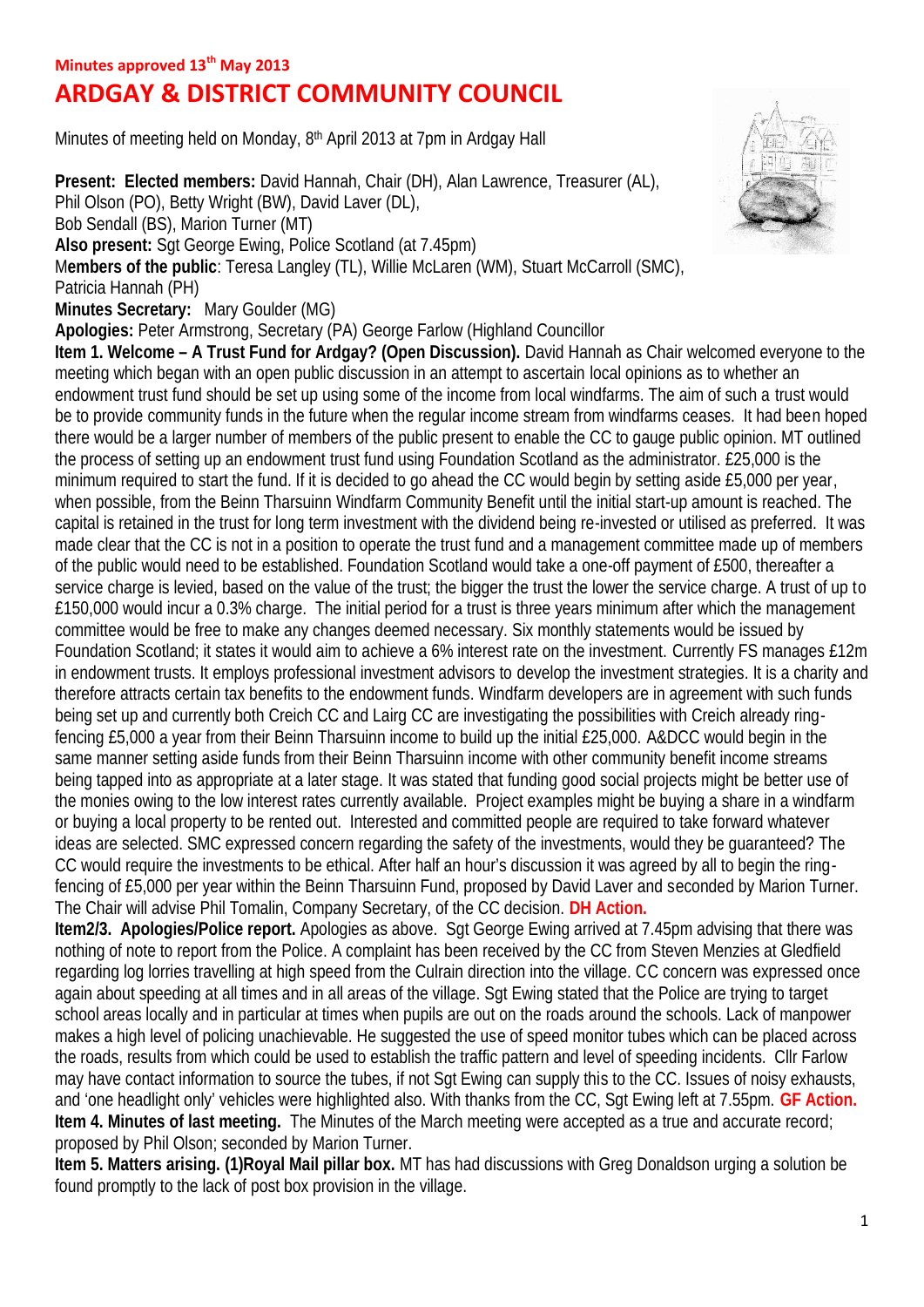# **ARDGAY & DISTRICT COMMUNITY COUNCIL**

Minutes of meeting held on Monday, 8<sup>th</sup> April 2013 at 7pm in Ardgay Hall

**Present: Elected members:** David Hannah, Chair (DH), Alan Lawrence, Treasurer (AL), Phil Olson (PO), Betty Wright (BW), David Laver (DL), Bob Sendall (BS), Marion Turner (MT) **Also present:** Sgt George Ewing, Police Scotland (at 7.45pm) M**embers of the public**: Teresa Langley (TL), Willie McLaren (WM), Stuart McCarroll (SMC), Patricia Hannah (PH) **Minutes Secretary:** Mary Goulder (MG) **Apologies:** Peter Armstrong, Secretary (PA) George Farlow (Highland Councillor **Item 1. Welcome – A Trust Fund for Ardgay? (Open Discussion).** David Hannah as Chair welcomed everyone to the meeting which began with an open public discussion in an attempt to ascertain local opinions as to whether an endowment trust fund should be set up using some of the income from local windfarms. The aim of such a trust would be to provide community funds in the future when the regular income stream from windfarms ceases. It had been hoped there would be a larger number of members of the public present to enable the CC to gauge public opinion. MT outlined the process of setting up an endowment trust fund using Foundation Scotland as the administrator. £25,000 is the minimum required to start the fund. If it is decided to go ahead the CC would begin by setting aside £5,000 per year, when possible, from the Beinn Tharsuinn Windfarm Community Benefit until the initial start-up amount is reached. The capital is retained in the trust for long term investment with the dividend being re-invested or utilised as preferred. It was made clear that the CC is not in a position to operate the trust fund and a management committee made up of members of the public would need to be established. Foundation Scotland would take a one-off payment of £500, thereafter a service charge is levied, based on the value of the trust; the bigger the trust the lower the service charge. A trust of up to £150,000 would incur a 0.3% charge. The initial period for a trust is three years minimum after which the management committee would be free to make any changes deemed necessary. Six monthly statements would be issued by Foundation Scotland; it states it would aim to achieve a 6% interest rate on the investment. Currently FS manages £12m in endowment trusts. It employs professional investment advisors to develop the investment strategies. It is a charity and therefore attracts certain tax benefits to the endowment funds. Windfarm developers are in agreement with such funds being set up and currently both Creich CC and Lairg CC are investigating the possibilities with Creich already ringfencing £5,000 a year from their Beinn Tharsuinn income to build up the initial £25,000. A&DCC would begin in the same manner setting aside funds from their Beinn Tharsuinn income with other community benefit income streams being tapped into as appropriate at a later stage. It was stated that funding good social projects might be better use of the monies owing to the low interest rates currently available. Project examples might be buying a share in a windfarm or buying a local property to be rented out. Interested and committed people are required to take forward whatever ideas are selected. SMC expressed concern regarding the safety of the investments, would they be quaranteed? The CC would require the investments to be ethical. After half an hour's discussion it was agreed by all to begin the ringfencing of £5,000 per year within the Beinn Tharsuinn Fund, proposed by David Laver and seconded by Marion Turner. The Chair will advise Phil Tomalin, Company Secretary, of the CC decision. **DH Action.**

**Item2/3. Apologies/Police report.** Apologies as above. Sgt George Ewing arrived at 7.45pm advising that there was nothing of note to report from the Police. A complaint has been received by the CC from Steven Menzies at Gledfield regarding log lorries travelling at high speed from the Culrain direction into the village. CC concern was expressed once again about speeding at all times and in all areas of the village. Sgt Ewing stated that the Police are trying to target school areas locally and in particular at times when pupils are out on the roads around the schools. Lack of manpower makes a high level of policing unachievable. He suggested the use of speed monitor tubes which can be placed across the roads, results from which could be used to establish the traffic pattern and level of speeding incidents. Cllr Farlow may have contact information to source the tubes, if not Sgt Ewing can supply this to the CC. Issues of noisy exhausts, and 'one headlight only' vehicles were highlighted also. With thanks from the CC, Sgt Ewing left at 7.55pm. **GF Action. Item 4. Minutes of last meeting.** The Minutes of the March meeting were accepted as a true and accurate record; proposed by Phil Olson; seconded by Marion Turner.

**Item 5. Matters arising. (1)Royal Mail pillar box.** MT has had discussions with Greg Donaldson urging a solution be found promptly to the lack of post box provision in the village.

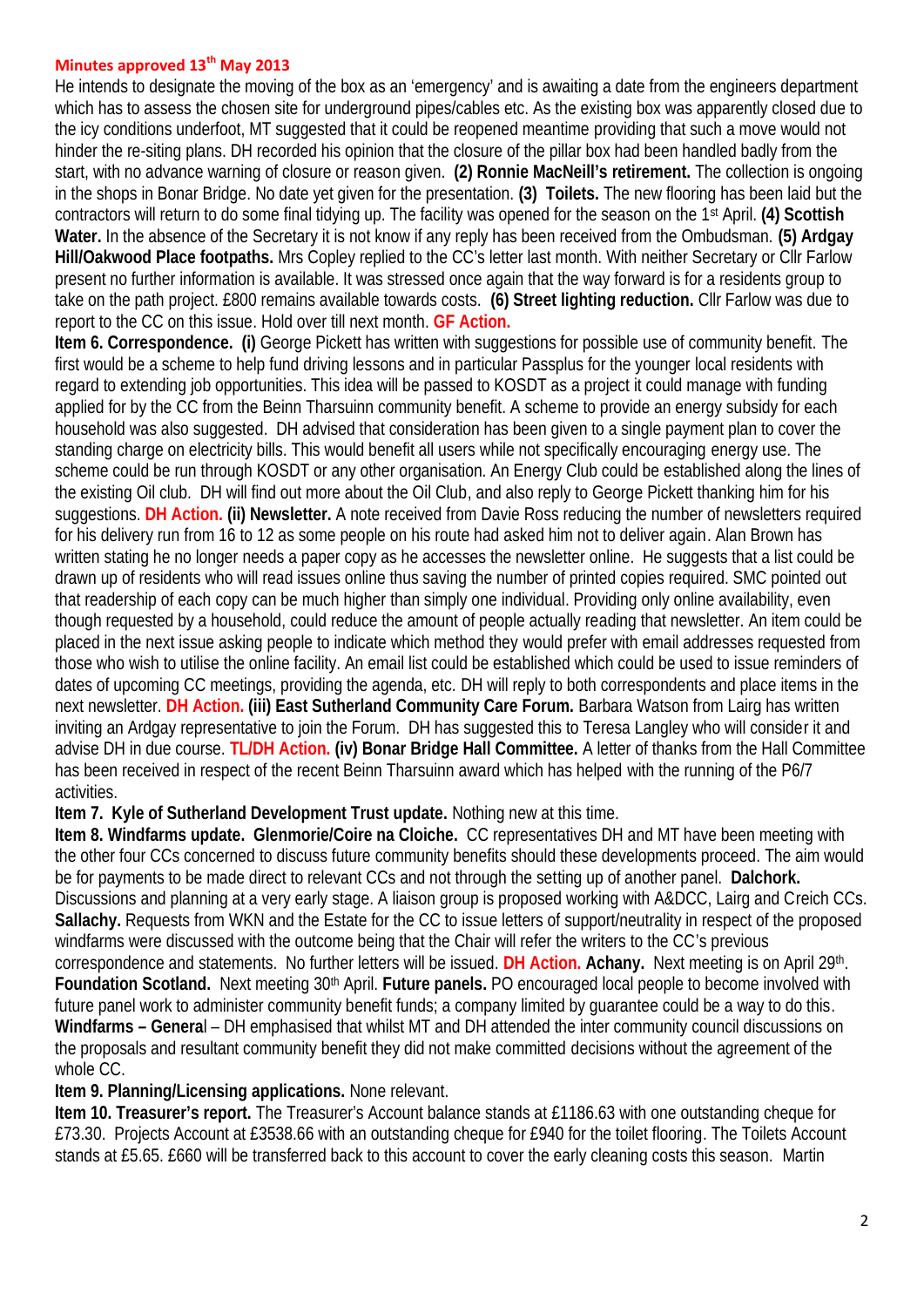## **Minutes approved 13th May 2013**

He intends to designate the moving of the box as an 'emergency' and is awaiting a date from the engineers department which has to assess the chosen site for underground pipes/cables etc. As the existing box was apparently closed due to the icy conditions underfoot. MT suggested that it could be reopened meantime providing that such a move would not hinder the re-siting plans. DH recorded his opinion that the closure of the pillar box had been handled badly from the start, with no advance warning of closure or reason given. **(2) Ronnie MacNeill's retirement.** The collection is ongoing in the shops in Bonar Bridge. No date yet given for the presentation. **(3) Toilets.** The new flooring has been laid but the contractors will return to do some final tidying up. The facility was opened for the season on the 1st April. **(4) Scottish Water.** In the absence of the Secretary it is not know if any reply has been received from the Ombudsman. **(5) Ardgay Hill/Oakwood Place footpaths.** Mrs Copley replied to the CC's letter last month. With neither Secretary or Cllr Farlow present no further information is available. It was stressed once again that the way forward is for a residents group to take on the path project. £800 remains available towards costs. **(6) Street lighting reduction.** Cllr Farlow was due to report to the CC on this issue. Hold over till next month. **GF Action.**

**Item 6. Correspondence. (i)** George Pickett has written with suggestions for possible use of community benefit. The first would be a scheme to help fund driving lessons and in particular Passplus for the younger local residents with regard to extending job opportunities. This idea will be passed to KOSDT as a project it could manage with funding applied for by the CC from the Beinn Tharsuinn community benefit. A scheme to provide an energy subsidy for each household was also suggested. DH advised that consideration has been given to a single payment plan to cover the standing charge on electricity bills. This would benefit all users while not specifically encouraging energy use. The scheme could be run through KOSDT or any other organisation. An Energy Club could be established along the lines of the existing Oil club. DH will find out more about the Oil Club, and also reply to George Pickett thanking him for his suggestions. **DH Action. (ii) Newsletter.** A note received from Davie Ross reducing the number of newsletters required for his delivery run from 16 to 12 as some people on his route had asked him not to deliver again. Alan Brown has written stating he no longer needs a paper copy as he accesses the newsletter online. He suggests that a list could be drawn up of residents who will read issues online thus saving the number of printed copies required. SMC pointed out that readership of each copy can be much higher than simply one individual. Providing only online availability, even though requested by a household, could reduce the amount of people actually reading that newsletter. An item could be placed in the next issue asking people to indicate which method they would prefer with email addresses requested from those who wish to utilise the online facility. An email list could be established which could be used to issue reminders of dates of upcoming CC meetings, providing the agenda, etc. DH will reply to both correspondents and place items in the next newsletter. **DH Action. (iii) East Sutherland Community Care Forum.** Barbara Watson from Lairg has written inviting an Ardgay representative to join the Forum. DH has suggested this to Teresa Langley who will consider it and advise DH in due course. **TL/DH Action. (iv) Bonar Bridge Hall Committee.** A letter of thanks from the Hall Committee has been received in respect of the recent Beinn Tharsuinn award which has helped with the running of the P6/7 activities.

## **Item 7. Kyle of Sutherland Development Trust update.** Nothing new at this time.

**Item 8. Windfarms update. Glenmorie/Coire na Cloiche.** CC representatives DH and MT have been meeting with the other four CCs concerned to discuss future community benefits should these developments proceed. The aim would be for payments to be made direct to relevant CCs and not through the setting up of another panel. **Dalchork.** Discussions and planning at a very early stage. A liaison group is proposed working with A&DCC, Lairg and Creich CCs. **Sallachy.** Requests from WKN and the Estate for the CC to issue letters of support/neutrality in respect of the proposed windfarms were discussed with the outcome being that the Chair will refer the writers to the CC's previous correspondence and statements. No further letters will be issued. **DH Action. Achany.** Next meeting is on April 29th . **Foundation Scotland.** Next meeting 30<sup>th</sup> April. **Future panels.** PO encouraged local people to become involved with future panel work to administer community benefit funds; a company limited by guarantee could be a way to do this. **Windfarms – Genera**l – DH emphasised that whilst MT and DH attended the inter community council discussions on the proposals and resultant community benefit they did not make committed decisions without the agreement of the whole CC.

## **Item 9. Planning/Licensing applications.** None relevant.

**Item 10. Treasurer's report.** The Treasurer's Account balance stands at £1186.63 with one outstanding cheque for £73.30. Projects Account at £3538.66 with an outstanding cheque for £940 for the toilet flooring. The Toilets Account stands at £5.65. £660 will be transferred back to this account to cover the early cleaning costs this season. Martin